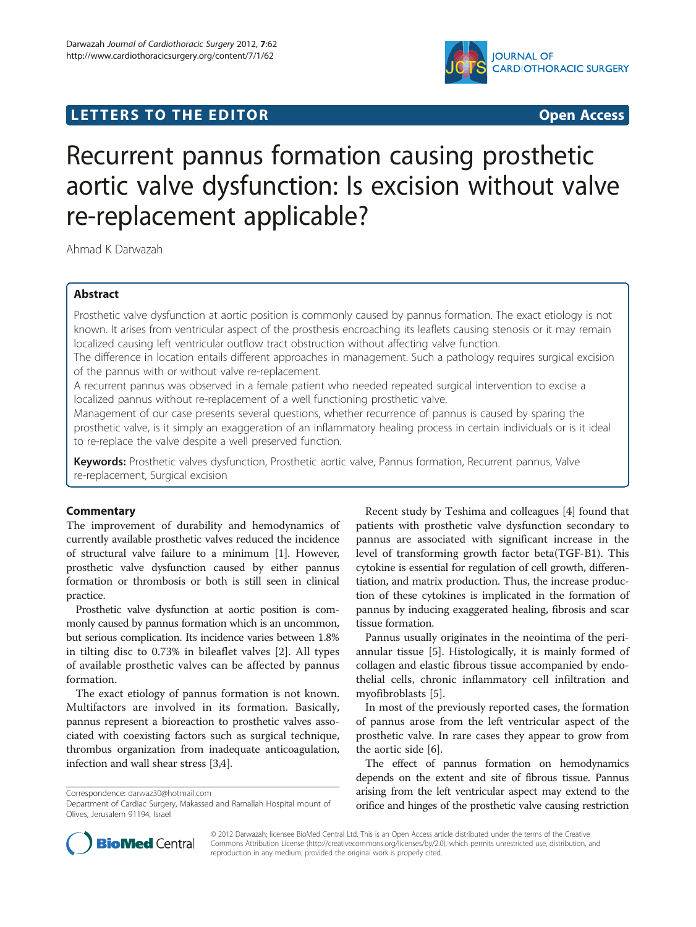



# Recurrent pannus formation causing prosthetic aortic valve dysfunction: Is excision without valve re-replacement applicable?

Ahmad K Darwazah

## Abstract

Prosthetic valve dysfunction at aortic position is commonly caused by pannus formation. The exact etiology is not known. It arises from ventricular aspect of the prosthesis encroaching its leaflets causing stenosis or it may remain localized causing left ventricular outflow tract obstruction without affecting valve function.

The difference in location entails different approaches in management. Such a pathology requires surgical excision of the pannus with or without valve re-replacement.

A recurrent pannus was observed in a female patient who needed repeated surgical intervention to excise a localized pannus without re-replacement of a well functioning prosthetic valve.

Management of our case presents several questions, whether recurrence of pannus is caused by sparing the prosthetic valve, is it simply an exaggeration of an inflammatory healing process in certain individuals or is it ideal to re-replace the valve despite a well preserved function.

Keywords: Prosthetic valves dysfunction, Prosthetic aortic valve, Pannus formation, Recurrent pannus, Valve re-replacement, Surgical excision

## **Commentary**

The improvement of durability and hemodynamics of currently available prosthetic valves reduced the incidence of structural valve failure to a minimum [\[1](#page-2-0)]. However, prosthetic valve dysfunction caused by either pannus formation or thrombosis or both is still seen in clinical practice.

Prosthetic valve dysfunction at aortic position is commonly caused by pannus formation which is an uncommon, but serious complication. Its incidence varies between 1.8% in tilting disc to 0.73% in bileaflet valves [[2\]](#page-2-0). All types of available prosthetic valves can be affected by pannus formation.

The exact etiology of pannus formation is not known. Multifactors are involved in its formation. Basically, pannus represent a bioreaction to prosthetic valves associated with coexisting factors such as surgical technique, thrombus organization from inadequate anticoagulation, infection and wall shear stress [\[3,4\]](#page-2-0).

Correspondence: [darwaz30@hotmail.com](mailto:darwaz30@hotmail.com)

Recent study by Teshima and colleagues [[4\]](#page-2-0) found that patients with prosthetic valve dysfunction secondary to pannus are associated with significant increase in the level of transforming growth factor beta(TGF-B1). This cytokine is essential for regulation of cell growth, differentiation, and matrix production. Thus, the increase production of these cytokines is implicated in the formation of pannus by inducing exaggerated healing, fibrosis and scar tissue formation.

Pannus usually originates in the neointima of the periannular tissue [\[5\]](#page-2-0). Histologically, it is mainly formed of collagen and elastic fibrous tissue accompanied by endothelial cells, chronic inflammatory cell infiltration and myofibroblasts [[5\]](#page-2-0).

In most of the previously reported cases, the formation of pannus arose from the left ventricular aspect of the prosthetic valve. In rare cases they appear to grow from the aortic side [[6\]](#page-2-0).

The effect of pannus formation on hemodynamics depends on the extent and site of fibrous tissue. Pannus arising from the left ventricular aspect may extend to the orifice and hinges of the prosthetic valve causing restriction



© 2012 Darwazah; licensee BioMed Central Ltd. This is an Open Access article distributed under the terms of the Creative Commons Attribution License [\(http://creativecommons.org/licenses/by/2.0\)](http://creativecommons.org/licenses/by/2.0), which permits unrestricted use, distribution, and reproduction in any medium, provided the original work is properly cited.

Department of Cardiac Surgery, Makassed and Ramallah Hospital mount of Olives, Jerusalem 91194, Israel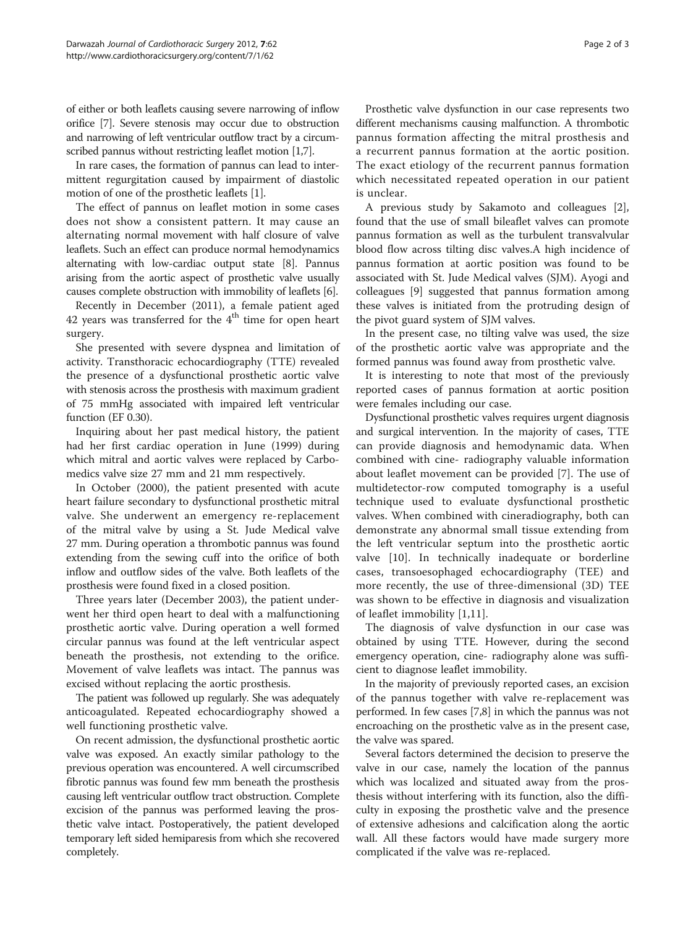of either or both leaflets causing severe narrowing of inflow orifice [\[7](#page-2-0)]. Severe stenosis may occur due to obstruction and narrowing of left ventricular outflow tract by a circum-scribed pannus without restricting leaflet motion [[1,7](#page-2-0)].

In rare cases, the formation of pannus can lead to intermittent regurgitation caused by impairment of diastolic motion of one of the prosthetic leaflets [[1](#page-2-0)].

The effect of pannus on leaflet motion in some cases does not show a consistent pattern. It may cause an alternating normal movement with half closure of valve leaflets. Such an effect can produce normal hemodynamics alternating with low-cardiac output state [[8](#page-2-0)]. Pannus arising from the aortic aspect of prosthetic valve usually causes complete obstruction with immobility of leaflets [[6](#page-2-0)].

Recently in December (2011), a female patient aged 42 years was transferred for the  $4<sup>th</sup>$  time for open heart surgery.

She presented with severe dyspnea and limitation of activity. Transthoracic echocardiography (TTE) revealed the presence of a dysfunctional prosthetic aortic valve with stenosis across the prosthesis with maximum gradient of 75 mmHg associated with impaired left ventricular function (EF 0.30).

Inquiring about her past medical history, the patient had her first cardiac operation in June (1999) during which mitral and aortic valves were replaced by Carbomedics valve size 27 mm and 21 mm respectively.

In October (2000), the patient presented with acute heart failure secondary to dysfunctional prosthetic mitral valve. She underwent an emergency re-replacement of the mitral valve by using a St. Jude Medical valve 27 mm. During operation a thrombotic pannus was found extending from the sewing cuff into the orifice of both inflow and outflow sides of the valve. Both leaflets of the prosthesis were found fixed in a closed position.

Three years later (December 2003), the patient underwent her third open heart to deal with a malfunctioning prosthetic aortic valve. During operation a well formed circular pannus was found at the left ventricular aspect beneath the prosthesis, not extending to the orifice. Movement of valve leaflets was intact. The pannus was excised without replacing the aortic prosthesis.

The patient was followed up regularly. She was adequately anticoagulated. Repeated echocardiography showed a well functioning prosthetic valve.

On recent admission, the dysfunctional prosthetic aortic valve was exposed. An exactly similar pathology to the previous operation was encountered. A well circumscribed fibrotic pannus was found few mm beneath the prosthesis causing left ventricular outflow tract obstruction. Complete excision of the pannus was performed leaving the prosthetic valve intact. Postoperatively, the patient developed temporary left sided hemiparesis from which she recovered completely.

Prosthetic valve dysfunction in our case represents two different mechanisms causing malfunction. A thrombotic pannus formation affecting the mitral prosthesis and a recurrent pannus formation at the aortic position. The exact etiology of the recurrent pannus formation which necessitated repeated operation in our patient is unclear.

A previous study by Sakamoto and colleagues [\[2](#page-2-0)], found that the use of small bileaflet valves can promote pannus formation as well as the turbulent transvalvular blood flow across tilting disc valves.A high incidence of pannus formation at aortic position was found to be associated with St. Jude Medical valves (SJM). Ayogi and colleagues [\[9\]](#page-2-0) suggested that pannus formation among these valves is initiated from the protruding design of the pivot guard system of SJM valves.

In the present case, no tilting valve was used, the size of the prosthetic aortic valve was appropriate and the formed pannus was found away from prosthetic valve.

It is interesting to note that most of the previously reported cases of pannus formation at aortic position were females including our case.

Dysfunctional prosthetic valves requires urgent diagnosis and surgical intervention. In the majority of cases, TTE can provide diagnosis and hemodynamic data. When combined with cine- radiography valuable information about leaflet movement can be provided [\[7](#page-2-0)]. The use of multidetector-row computed tomography is a useful technique used to evaluate dysfunctional prosthetic valves. When combined with cineradiography, both can demonstrate any abnormal small tissue extending from the left ventricular septum into the prosthetic aortic valve [[10](#page-2-0)]. In technically inadequate or borderline cases, transoesophaged echocardiography (TEE) and more recently, the use of three-dimensional (3D) TEE was shown to be effective in diagnosis and visualization of leaflet immobility [\[1,11](#page-2-0)].

The diagnosis of valve dysfunction in our case was obtained by using TTE. However, during the second emergency operation, cine- radiography alone was sufficient to diagnose leaflet immobility.

In the majority of previously reported cases, an excision of the pannus together with valve re-replacement was performed. In few cases [[7,8](#page-2-0)] in which the pannus was not encroaching on the prosthetic valve as in the present case, the valve was spared.

Several factors determined the decision to preserve the valve in our case, namely the location of the pannus which was localized and situated away from the prosthesis without interfering with its function, also the difficulty in exposing the prosthetic valve and the presence of extensive adhesions and calcification along the aortic wall. All these factors would have made surgery more complicated if the valve was re-replaced.